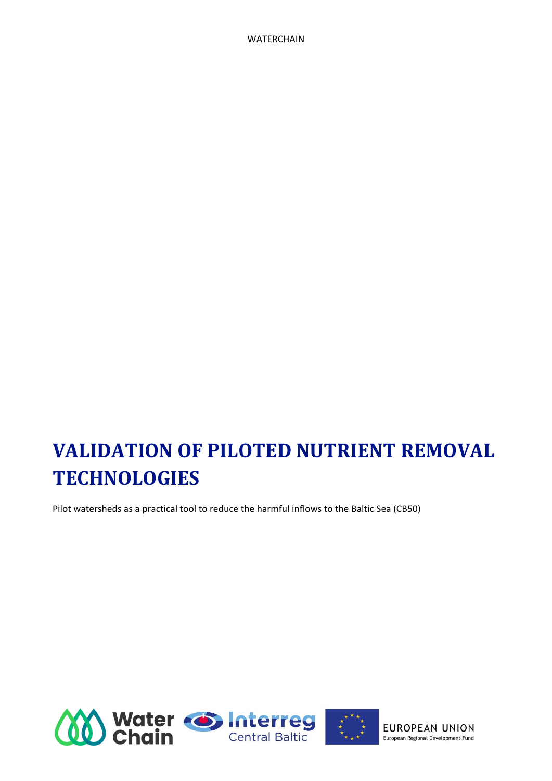# **VALIDATION OF PILOTED NUTRIENT REMOVAL TECHNOLOGIES**

Pilot watersheds as a practical tool to reduce the harmful inflows to the Baltic Sea (CB50)

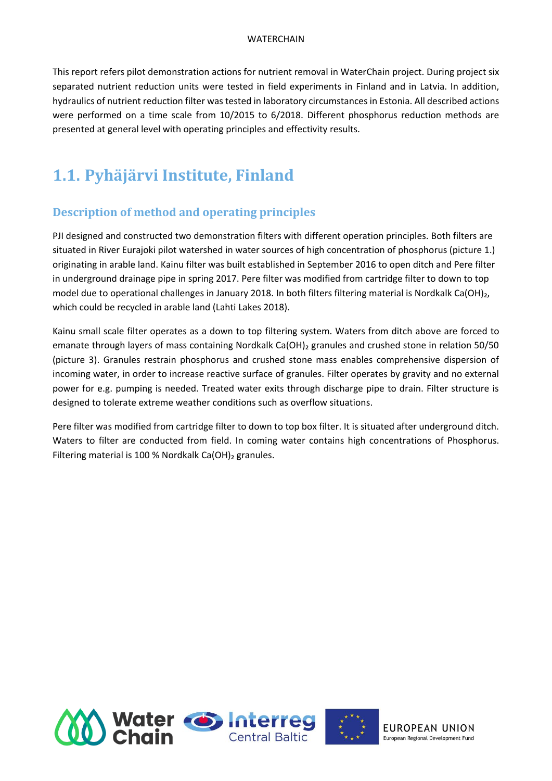This report refers pilot demonstration actions for nutrient removal in WaterChain project. During project six separated nutrient reduction units were tested in field experiments in Finland and in Latvia. In addition, hydraulics of nutrient reduction filter was tested in laboratory circumstances in Estonia. All described actions were performed on a time scale from 10/2015 to 6/2018. Different phosphorus reduction methods are presented at general level with operating principles and effectivity results.

## **1.1. Pyhäjärvi Institute, Finland**

## **Description of method and operating principles**

PJI designed and constructed two demonstration filters with different operation principles. Both filters are situated in River Eurajoki pilot watershed in water sources of high concentration of phosphorus (picture 1.) originating in arable land. Kainu filter was built established in September 2016 to open ditch and Pere filter in underground drainage pipe in spring 2017. Pere filter was modified from cartridge filter to down to top model due to operational challenges in January 2018. In both filters filtering material is Nordkalk Ca(OH)<sub>2</sub>, which could be recycled in arable land (Lahti Lakes 2018).

Kainu small scale filter operates as a down to top filtering system. Waters from ditch above are forced to emanate through layers of mass containing Nordkalk Ca(OH)<sub>2</sub> granules and crushed stone in relation 50/50 (picture 3). Granules restrain phosphorus and crushed stone mass enables comprehensive dispersion of incoming water, in order to increase reactive surface of granules. Filter operates by gravity and no external power for e.g. pumping is needed. Treated water exits through discharge pipe to drain. Filter structure is designed to tolerate extreme weather conditions such as overflow situations.

Pere filter was modified from cartridge filter to down to top box filter. It is situated after underground ditch. Waters to filter are conducted from field. In coming water contains high concentrations of Phosphorus. Filtering material is 100 % Nordkalk Ca(OH)<sub>2</sub> granules.

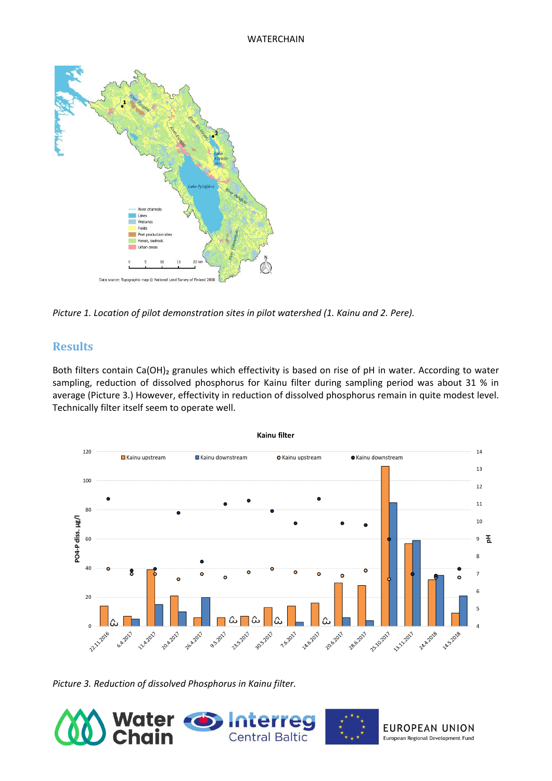

*Picture 1. Location of pilot demonstration sites in pilot watershed (1. Kainu and 2. Pere).*

### **Results**

Both filters contain Ca(OH)<sub>2</sub> granules which effectivity is based on rise of pH in water. According to water sampling, reduction of dissolved phosphorus for Kainu filter during sampling period was about 31 % in average (Picture 3.) However, effectivity in reduction of dissolved phosphorus remain in quite modest level. Technically filter itself seem to operate well.



*Picture 3. Reduction of dissolved Phosphorus in Kainu filter.*

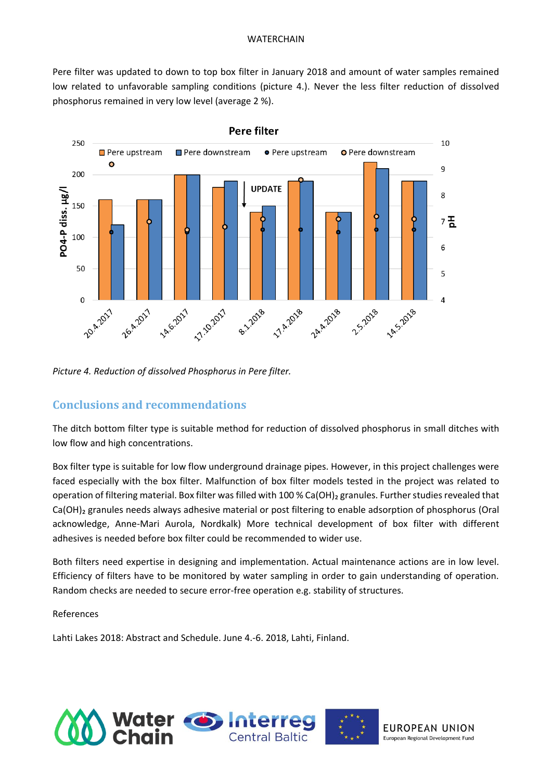Pere filter was updated to down to top box filter in January 2018 and amount of water samples remained low related to unfavorable sampling conditions (picture 4.). Never the less filter reduction of dissolved phosphorus remained in very low level (average 2 %).



*Picture 4. Reduction of dissolved Phosphorus in Pere filter.*

### **Conclusions and recommendations**

The ditch bottom filter type is suitable method for reduction of dissolved phosphorus in small ditches with low flow and high concentrations.

Box filter type is suitable for low flow underground drainage pipes. However, in this project challenges were faced especially with the box filter. Malfunction of box filter models tested in the project was related to operation of filtering material. Box filter was filled with 100 % Ca(OH)<sub>2</sub> granules. Further studies revealed that Ca(OH)<sub>2</sub> granules needs always adhesive material or post filtering to enable adsorption of phosphorus (Oral acknowledge, Anne-Mari Aurola, Nordkalk) More technical development of box filter with different adhesives is needed before box filter could be recommended to wider use.

Both filters need expertise in designing and implementation. Actual maintenance actions are in low level. Efficiency of filters have to be monitored by water sampling in order to gain understanding of operation. Random checks are needed to secure error-free operation e.g. stability of structures.

### References

Lahti Lakes 2018: Abstract and Schedule. June 4.-6. 2018, Lahti, Finland.

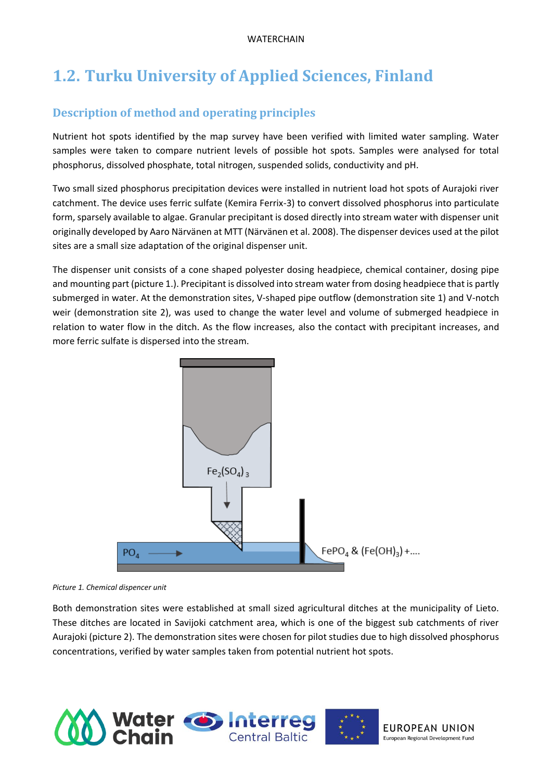## **1.2. Turku University of Applied Sciences, Finland**

## **Description of method and operating principles**

Nutrient hot spots identified by the map survey have been verified with limited water sampling. Water samples were taken to compare nutrient levels of possible hot spots. Samples were analysed for total phosphorus, dissolved phosphate, total nitrogen, suspended solids, conductivity and pH.

Two small sized phosphorus precipitation devices were installed in nutrient load hot spots of Aurajoki river catchment. The device uses ferric sulfate (Kemira Ferrix-3) to convert dissolved phosphorus into particulate form, sparsely available to algae. Granular precipitant is dosed directly into stream water with dispenser unit originally developed by Aaro Närvänen at MTT (Närvänen et al. 2008). The dispenser devices used at the pilot sites are a small size adaptation of the original dispenser unit.

The dispenser unit consists of a cone shaped polyester dosing headpiece, chemical container, dosing pipe and mounting part (picture 1.). Precipitant is dissolved into stream water from dosing headpiece that is partly submerged in water. At the demonstration sites, V-shaped pipe outflow (demonstration site 1) and V-notch weir (demonstration site 2), was used to change the water level and volume of submerged headpiece in relation to water flow in the ditch. As the flow increases, also the contact with precipitant increases, and more ferric sulfate is dispersed into the stream.



*Picture 1. Chemical dispencer unit*

Both demonstration sites were established at small sized agricultural ditches at the municipality of Lieto. These ditches are located in Savijoki catchment area, which is one of the biggest sub catchments of river Aurajoki (picture 2). The demonstration sites were chosen for pilot studies due to high dissolved phosphorus concentrations, verified by water samples taken from potential nutrient hot spots.

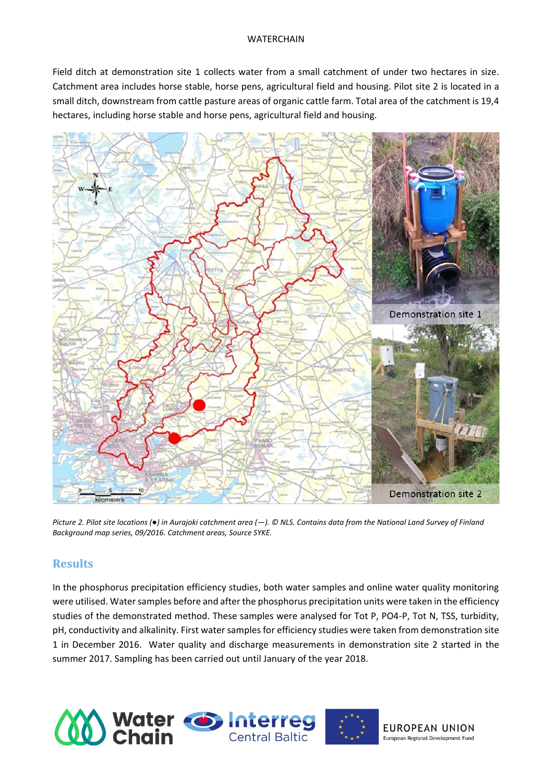Field ditch at demonstration site 1 collects water from a small catchment of under two hectares in size. Catchment area includes horse stable, horse pens, agricultural field and housing. Pilot site 2 is located in a small ditch, downstream from cattle pasture areas of organic cattle farm. Total area of the catchment is 19,4 hectares, including horse stable and horse pens, agricultural field and housing.



*Picture 2. Pilot site locations (●) in Aurajoki catchment area (―). © NLS. Contains data from the National Land Survey of Finland Background map series, 09/2016. Catchment areas, Source SYKE.*

## **Results**

In the phosphorus precipitation efficiency studies, both water samples and online water quality monitoring were utilised. Water samples before and after the phosphorus precipitation units were taken in the efficiency studies of the demonstrated method. These samples were analysed for Tot P, PO4-P, Tot N, TSS, turbidity, pH, conductivity and alkalinity. First water samples for efficiency studies were taken from demonstration site 1 in December 2016. Water quality and discharge measurements in demonstration site 2 started in the summer 2017. Sampling has been carried out until January of the year 2018.

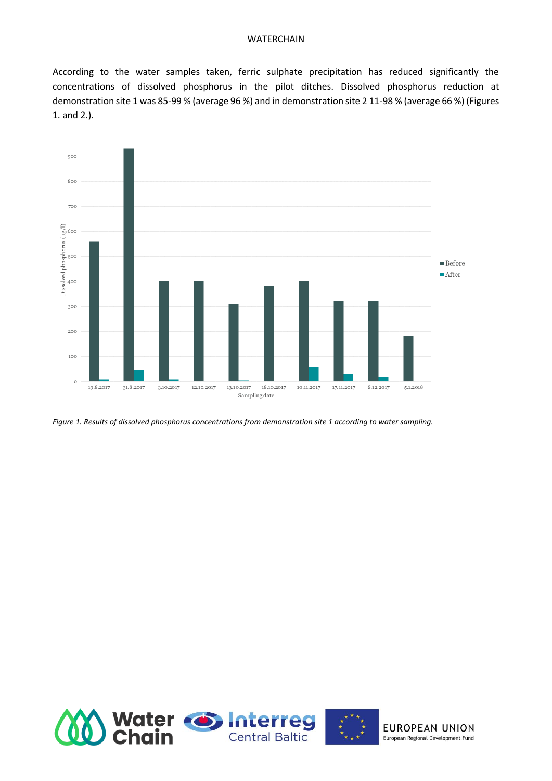According to the water samples taken, ferric sulphate precipitation has reduced significantly the concentrations of dissolved phosphorus in the pilot ditches. Dissolved phosphorus reduction at demonstration site 1 was 85-99 % (average 96 %) and in demonstration site 2 11-98 % (average 66 %) (Figures 1. and 2.).



*Figure 1. Results of dissolved phosphorus concentrations from demonstration site 1 according to water sampling.*

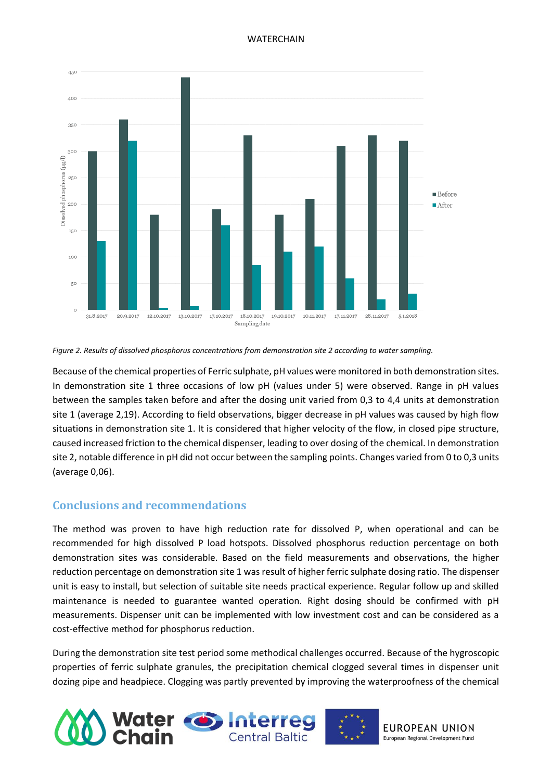

#### *Figure 2. Results of dissolved phosphorus concentrations from demonstration site 2 according to water sampling.*

Because of the chemical properties of Ferric sulphate, pH values were monitored in both demonstration sites. In demonstration site 1 three occasions of low pH (values under 5) were observed. Range in pH values between the samples taken before and after the dosing unit varied from 0,3 to 4,4 units at demonstration site 1 (average 2,19). According to field observations, bigger decrease in pH values was caused by high flow situations in demonstration site 1. It is considered that higher velocity of the flow, in closed pipe structure, caused increased friction to the chemical dispenser, leading to over dosing of the chemical. In demonstration site 2, notable difference in pH did not occur between the sampling points. Changes varied from 0 to 0,3 units (average 0,06).

### **Conclusions and recommendations**

The method was proven to have high reduction rate for dissolved P, when operational and can be recommended for high dissolved P load hotspots. Dissolved phosphorus reduction percentage on both demonstration sites was considerable. Based on the field measurements and observations, the higher reduction percentage on demonstration site 1 was result of higher ferric sulphate dosing ratio. The dispenser unit is easy to install, but selection of suitable site needs practical experience. Regular follow up and skilled maintenance is needed to guarantee wanted operation. Right dosing should be confirmed with pH measurements. Dispenser unit can be implemented with low investment cost and can be considered as a cost-effective method for phosphorus reduction.

During the demonstration site test period some methodical challenges occurred. Because of the hygroscopic properties of ferric sulphate granules, the precipitation chemical clogged several times in dispenser unit dozing pipe and headpiece. Clogging was partly prevented by improving the waterproofness of the chemical

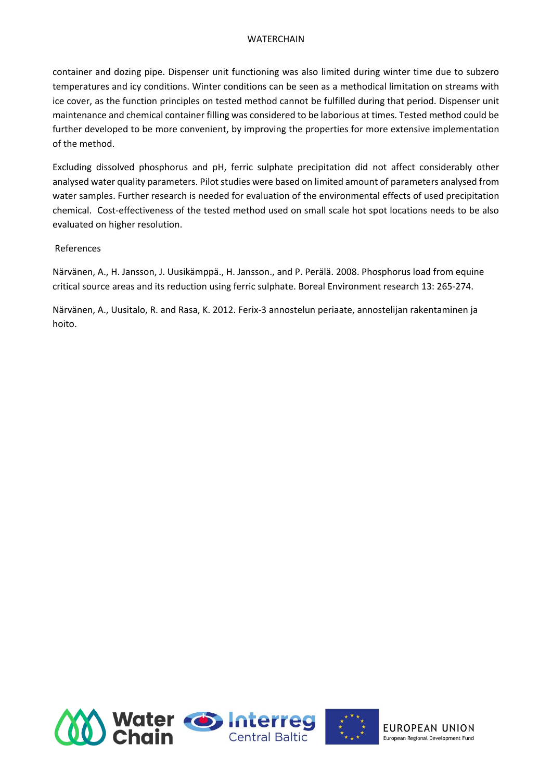container and dozing pipe. Dispenser unit functioning was also limited during winter time due to subzero temperatures and icy conditions. Winter conditions can be seen as a methodical limitation on streams with ice cover, as the function principles on tested method cannot be fulfilled during that period. Dispenser unit maintenance and chemical container filling was considered to be laborious at times. Tested method could be further developed to be more convenient, by improving the properties for more extensive implementation of the method.

Excluding dissolved phosphorus and pH, ferric sulphate precipitation did not affect considerably other analysed water quality parameters. Pilot studies were based on limited amount of parameters analysed from water samples. Further research is needed for evaluation of the environmental effects of used precipitation chemical. Cost-effectiveness of the tested method used on small scale hot spot locations needs to be also evaluated on higher resolution.

### References

Närvänen, A., H. Jansson, J. Uusikämppä., H. Jansson., and P. Perälä. 2008. Phosphorus load from equine critical source areas and its reduction using ferric sulphate. Boreal Environment research 13: 265-274.

Närvänen, A., Uusitalo, R. and Rasa, K. 2012. Ferix-3 annostelun periaate, annostelijan rakentaminen ja hoito.

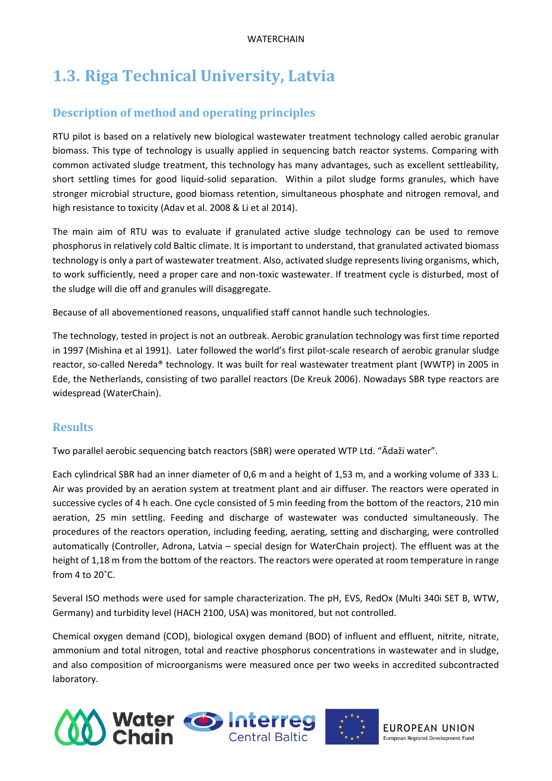## **1.3. Riga Technical University, Latvia**

## **Description of method and operating principles**

RTU pilot is based on a relatively new biological wastewater treatment technology called aerobic granular biomass. This type of technology is usually applied in sequencing batch reactor systems. Comparing with common activated sludge treatment, this technology has many advantages, such as excellent settleability, short settling times for good liquid-solid separation. Within a pilot sludge forms granules, which have stronger microbial structure, good biomass retention, simultaneous phosphate and nitrogen removal, and high resistance to toxicity (Adav et al. 2008 & Li et al 2014).

The main aim of RTU was to evaluate if granulated active sludge technology can be used to remove phosphorus in relatively cold Baltic climate. It is important to understand, that granulated activated biomass technology is only a part of wastewater treatment. Also, activated sludge represents living organisms, which, to work sufficiently, need a proper care and non-toxic wastewater. If treatment cycle is disturbed, most of the sludge will die off and granules will disaggregate.

Because of all abovementioned reasons, unqualified staff cannot handle such technologies.

The technology, tested in project is not an outbreak. Aerobic granulation technology was first time reported in 1997 (Mishina et al 1991). Later followed the world's first pilot-scale research of aerobic granular sludge reactor, so-called Nereda® technology. It was built for real wastewater treatment plant (WWTP) in 2005 in Ede, the Netherlands, consisting of two parallel reactors (De Kreuk 2006). Nowadays SBR type reactors are widespread (WaterChain).

## **Results**

Two parallel aerobic sequencing batch reactors (SBR) were operated WTP Ltd. "Ādaži water".

Each cylindrical SBR had an inner diameter of 0,6 m and a height of 1,53 m, and a working volume of 333 L. Air was provided by an aeration system at treatment plant and air diffuser. The reactors were operated in successive cycles of 4 h each. One cycle consisted of 5 min feeding from the bottom of the reactors, 210 min aeration, 25 min settling. Feeding and discharge of wastewater was conducted simultaneously. The procedures of the reactors operation, including feeding, aerating, setting and discharging, were controlled automatically (Controller, Adrona, Latvia – special design for WaterChain project). The effluent was at the height of 1,18 m from the bottom of the reactors. The reactors were operated at room temperature in range from 4 to 20˚C.

Several ISO methods were used for sample characterization. The pH, EVS, RedOx (Multi 340i SET B, WTW, Germany) and turbidity level (HACH 2100, USA) was monitored, but not controlled.

Chemical oxygen demand (COD), biological oxygen demand (BOD) of influent and effluent, nitrite, nitrate, ammonium and total nitrogen, total and reactive phosphorus concentrations in wastewater and in sludge, and also composition of microorganisms were measured once per two weeks in accredited subcontracted laboratory.

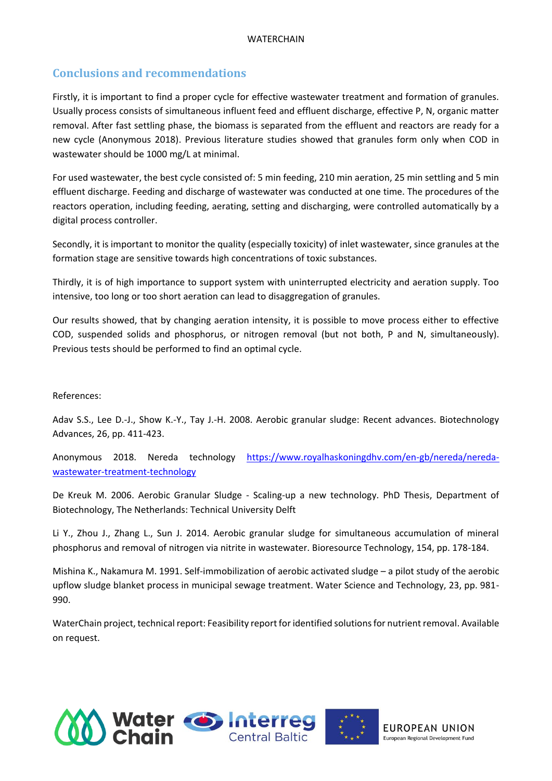## **Conclusions and recommendations**

Firstly, it is important to find a proper cycle for effective wastewater treatment and formation of granules. Usually process consists of simultaneous influent feed and effluent discharge, effective P, N, organic matter removal. After fast settling phase, the biomass is separated from the effluent and reactors are ready for a new cycle (Anonymous 2018). Previous literature studies showed that granules form only when COD in wastewater should be 1000 mg/L at minimal.

For used wastewater, the best cycle consisted of: 5 min feeding, 210 min aeration, 25 min settling and 5 min effluent discharge. Feeding and discharge of wastewater was conducted at one time. The procedures of the reactors operation, including feeding, aerating, setting and discharging, were controlled automatically by a digital process controller.

Secondly, it is important to monitor the quality (especially toxicity) of inlet wastewater, since granules at the formation stage are sensitive towards high concentrations of toxic substances.

Thirdly, it is of high importance to support system with uninterrupted electricity and aeration supply. Too intensive, too long or too short aeration can lead to disaggregation of granules.

Our results showed, that by changing aeration intensity, it is possible to move process either to effective COD, suspended solids and phosphorus, or nitrogen removal (but not both, P and N, simultaneously). Previous tests should be performed to find an optimal cycle.

### References:

Adav S.S., Lee D.-J., Show K.-Y., Tay J.-H. 2008. Aerobic granular sludge: Recent advances. Biotechnology Advances, 26, pp. 411-423.

Anonymous 2018. Nereda technology [https://www.royalhaskoningdhv.com/en-gb/nereda/nereda](https://www.royalhaskoningdhv.com/en-gb/nereda/nereda-wastewater-treatment-technology)[wastewater-treatment-technology](https://www.royalhaskoningdhv.com/en-gb/nereda/nereda-wastewater-treatment-technology)

De Kreuk M. 2006. Aerobic Granular Sludge - Scaling-up a new technology. PhD Thesis, Department of Biotechnology, The Netherlands: Technical University Delft

Li Y., Zhou J., Zhang L., Sun J. 2014. Aerobic granular sludge for simultaneous accumulation of mineral phosphorus and removal of nitrogen via nitrite in wastewater. Bioresource Technology, 154, pp. 178-184.

Mishina K., Nakamura M. 1991. Self-immobilization of aerobic activated sludge – a pilot study of the aerobic upflow sludge blanket process in municipal sewage treatment. Water Science and Technology, 23, pp. 981- 990.

WaterChain project, technical report: Feasibility report for identified solutions for nutrient removal. Available on request.

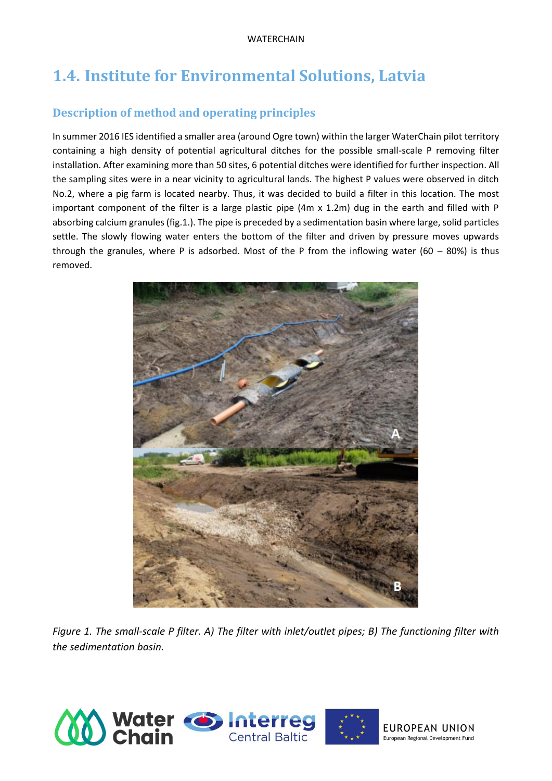## **1.4. Institute for Environmental Solutions, Latvia**

## **Description of method and operating principles**

In summer 2016 IES identified a smaller area (around Ogre town) within the larger WaterChain pilot territory containing a high density of potential agricultural ditches for the possible small-scale P removing filter installation. After examining more than 50 sites, 6 potential ditches were identified for further inspection. All the sampling sites were in a near vicinity to agricultural lands. The highest P values were observed in ditch No.2, where a pig farm is located nearby. Thus, it was decided to build a filter in this location. The most important component of the filter is a large plastic pipe (4m x 1.2m) dug in the earth and filled with P absorbing calcium granules (fig.1.). The pipe is preceded by a sedimentation basin where large, solid particles settle. The slowly flowing water enters the bottom of the filter and driven by pressure moves upwards through the granules, where P is adsorbed. Most of the P from the inflowing water (60 – 80%) is thus removed.



*Figure 1. The small-scale P filter. A) The filter with inlet/outlet pipes; B) The functioning filter with the sedimentation basin.* 

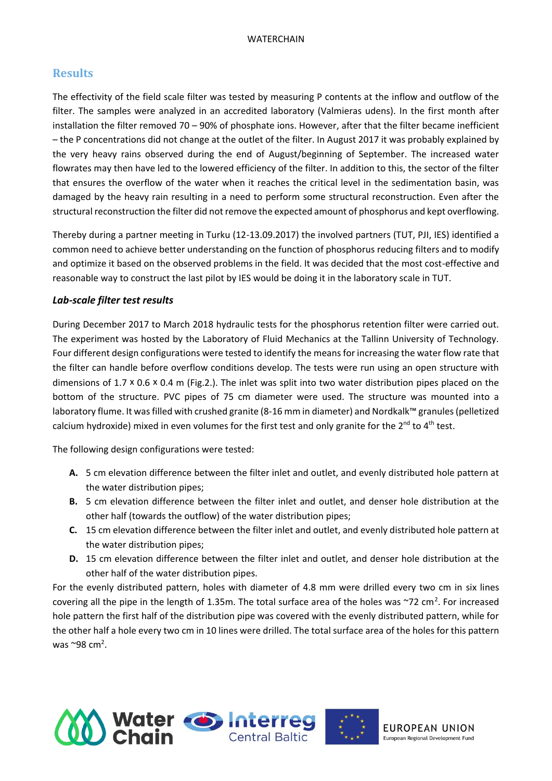### **Results**

The effectivity of the field scale filter was tested by measuring P contents at the inflow and outflow of the filter. The samples were analyzed in an accredited laboratory (Valmieras udens). In the first month after installation the filter removed 70 – 90% of phosphate ions. However, after that the filter became inefficient – the P concentrations did not change at the outlet of the filter. In August 2017 it was probably explained by the very heavy rains observed during the end of August/beginning of September. The increased water flowrates may then have led to the lowered efficiency of the filter. In addition to this, the sector of the filter that ensures the overflow of the water when it reaches the critical level in the sedimentation basin, was damaged by the heavy rain resulting in a need to perform some structural reconstruction. Even after the structural reconstruction the filter did not remove the expected amount of phosphorus and kept overflowing.

Thereby during a partner meeting in Turku (12-13.09.2017) the involved partners (TUT, PJI, IES) identified a common need to achieve better understanding on the function of phosphorus reducing filters and to modify and optimize it based on the observed problems in the field. It was decided that the most cost-effective and reasonable way to construct the last pilot by IES would be doing it in the laboratory scale in TUT.

### *Lab-scale filter test results*

During December 2017 to March 2018 hydraulic tests for the phosphorus retention filter were carried out. The experiment was hosted by the Laboratory of Fluid Mechanics at the Tallinn University of Technology. Four different design configurations were tested to identify the means for increasing the water flow rate that the filter can handle before overflow conditions develop. The tests were run using an open structure with dimensions of 1.7 x 0.6 x 0.4 m (Fig.2.). The inlet was split into two water distribution pipes placed on the bottom of the structure. PVC pipes of 75 cm diameter were used. The structure was mounted into a laboratory flume. It was filled with crushed granite (8-16 mm in diameter) and Nordkalk™ granules (pelletized calcium hydroxide) mixed in even volumes for the first test and only granite for the  $2^{nd}$  to  $4^{th}$  test.

The following design configurations were tested:

- **A.** 5 cm elevation difference between the filter inlet and outlet, and evenly distributed hole pattern at the water distribution pipes;
- **B.** 5 cm elevation difference between the filter inlet and outlet, and denser hole distribution at the other half (towards the outflow) of the water distribution pipes;
- **C.** 15 cm elevation difference between the filter inlet and outlet, and evenly distributed hole pattern at the water distribution pipes;
- **D.** 15 cm elevation difference between the filter inlet and outlet, and denser hole distribution at the other half of the water distribution pipes.

For the evenly distributed pattern, holes with diameter of 4.8 mm were drilled every two cm in six lines covering all the pipe in the length of 1.35m. The total surface area of the holes was  $\sim$ 72 cm<sup>2</sup>. For increased hole pattern the first half of the distribution pipe was covered with the evenly distributed pattern, while for the other half a hole every two cm in 10 lines were drilled. The total surface area of the holes for this pattern was  $\sim$ 98 cm<sup>2</sup>.

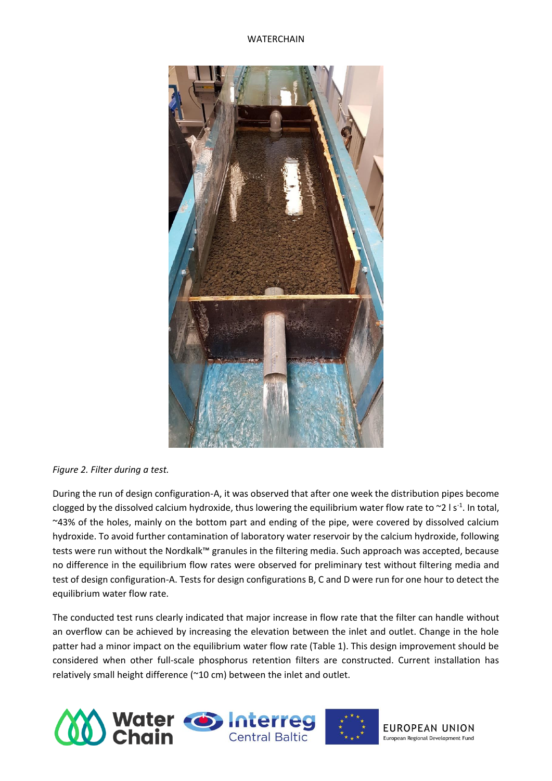

### *Figure 2. Filter during a test.*

During the run of design configuration-A, it was observed that after one week the distribution pipes become clogged by the dissolved calcium hydroxide, thus lowering the equilibrium water flow rate to  $\sim$ 2 l s<sup>-1</sup>. In total, ~43% of the holes, mainly on the bottom part and ending of the pipe, were covered by dissolved calcium hydroxide. To avoid further contamination of laboratory water reservoir by the calcium hydroxide, following tests were run without the Nordkalk™ granules in the filtering media. Such approach was accepted, because no difference in the equilibrium flow rates were observed for preliminary test without filtering media and test of design configuration-A. Tests for design configurations B, C and D were run for one hour to detect the equilibrium water flow rate.

The conducted test runs clearly indicated that major increase in flow rate that the filter can handle without an overflow can be achieved by increasing the elevation between the inlet and outlet. Change in the hole patter had a minor impact on the equilibrium water flow rate (Table 1). This design improvement should be considered when other full-scale phosphorus retention filters are constructed. Current installation has relatively small height difference (~10 cm) between the inlet and outlet.